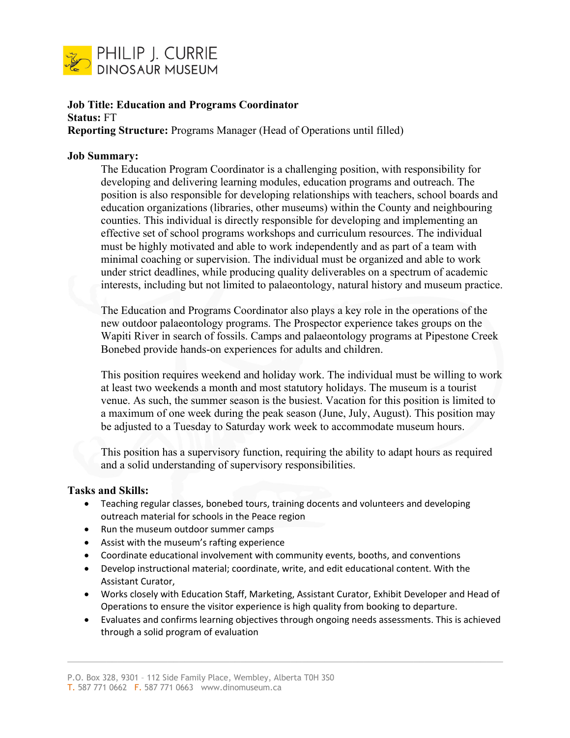

# **Job Title: Education and Programs Coordinator Status:** FT **Reporting Structure:** Programs Manager (Head of Operations until filled)

### **Job Summary:**

The Education Program Coordinator is a challenging position, with responsibility for developing and delivering learning modules, education programs and outreach. The position is also responsible for developing relationships with teachers, school boards and education organizations (libraries, other museums) within the County and neighbouring counties. This individual is directly responsible for developing and implementing an effective set of school programs workshops and curriculum resources. The individual must be highly motivated and able to work independently and as part of a team with minimal coaching or supervision. The individual must be organized and able to work under strict deadlines, while producing quality deliverables on a spectrum of academic interests, including but not limited to palaeontology, natural history and museum practice.

The Education and Programs Coordinator also plays a key role in the operations of the new outdoor palaeontology programs. The Prospector experience takes groups on the Wapiti River in search of fossils. Camps and palaeontology programs at Pipestone Creek Bonebed provide hands-on experiences for adults and children.

This position requires weekend and holiday work. The individual must be willing to work at least two weekends a month and most statutory holidays. The museum is a tourist venue. As such, the summer season is the busiest. Vacation for this position is limited to a maximum of one week during the peak season (June, July, August). This position may be adjusted to a Tuesday to Saturday work week to accommodate museum hours.

This position has a supervisory function, requiring the ability to adapt hours as required and a solid understanding of supervisory responsibilities.

### **Tasks and Skills:**

- Teaching regular classes, bonebed tours, training docents and volunteers and developing outreach material for schools in the Peace region
- Run the museum outdoor summer camps
- Assist with the museum's rafting experience
- Coordinate educational involvement with community events, booths, and conventions
- Develop instructional material; coordinate, write, and edit educational content. With the Assistant Curator,
- Works closely with Education Staff, Marketing, Assistant Curator, Exhibit Developer and Head of Operations to ensure the visitor experience is high quality from booking to departure.
- Evaluates and confirms learning objectives through ongoing needs assessments. This is achieved through a solid program of evaluation

P.O. Box 328, 9301 – 112 Side Family Place, Wembley, Alberta T0H 3S0 T. 587 771 0662 F. 587 771 0663 www.dinomuseum.ca